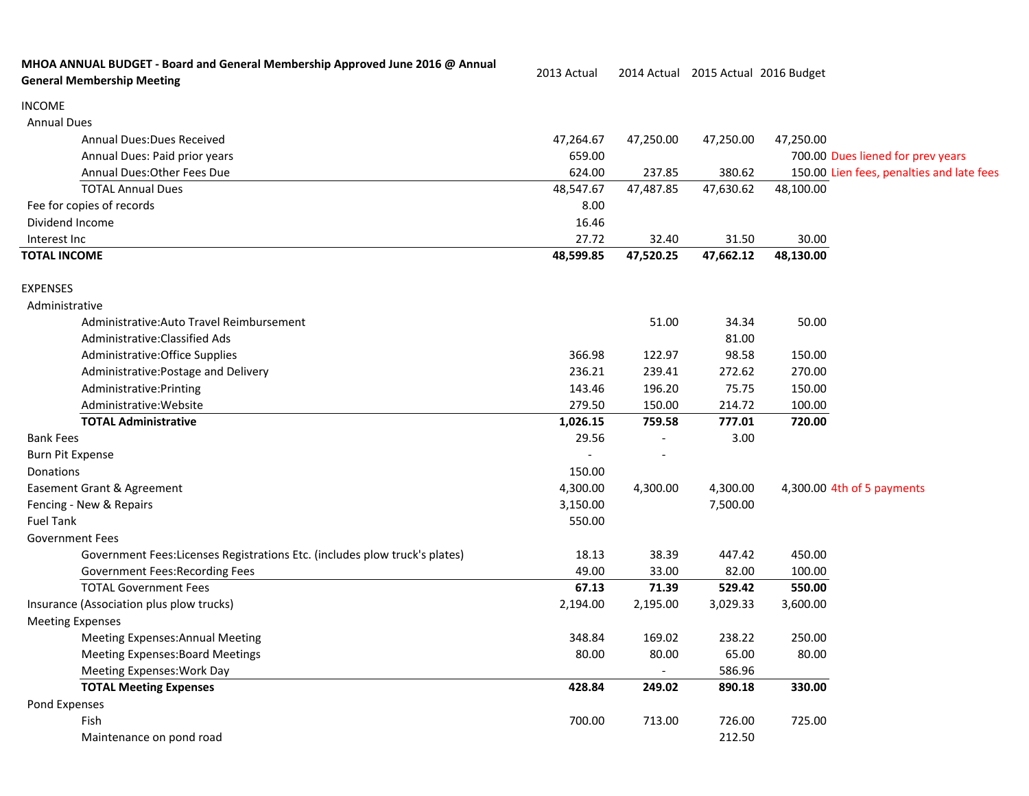| MHOA ANNUAL BUDGET - Board and General Membership Approved June 2016 @ Annual<br><b>General Membership Meeting</b> | 2013 Actual |           |           | 2014 Actual 2015 Actual 2016 Budget |                                           |
|--------------------------------------------------------------------------------------------------------------------|-------------|-----------|-----------|-------------------------------------|-------------------------------------------|
| <b>INCOME</b>                                                                                                      |             |           |           |                                     |                                           |
| <b>Annual Dues</b>                                                                                                 |             |           |           |                                     |                                           |
| <b>Annual Dues: Dues Received</b>                                                                                  | 47,264.67   | 47,250.00 | 47,250.00 | 47,250.00                           |                                           |
| Annual Dues: Paid prior years                                                                                      | 659.00      |           |           | 700.00 Dues liened for prev years   |                                           |
| Annual Dues: Other Fees Due                                                                                        | 624.00      | 237.85    | 380.62    |                                     | 150.00 Lien fees, penalties and late fees |
| <b>TOTAL Annual Dues</b>                                                                                           | 48,547.67   | 47,487.85 | 47,630.62 | 48,100.00                           |                                           |
| Fee for copies of records                                                                                          | 8.00        |           |           |                                     |                                           |
| Dividend Income                                                                                                    | 16.46       |           |           |                                     |                                           |
| Interest Inc                                                                                                       | 27.72       | 32.40     | 31.50     | 30.00                               |                                           |
| <b>TOTAL INCOME</b>                                                                                                | 48,599.85   | 47,520.25 | 47,662.12 | 48,130.00                           |                                           |
| <b>EXPENSES</b>                                                                                                    |             |           |           |                                     |                                           |
| Administrative                                                                                                     |             |           |           |                                     |                                           |
| Administrative: Auto Travel Reimbursement                                                                          |             | 51.00     | 34.34     | 50.00                               |                                           |
| Administrative: Classified Ads                                                                                     |             |           | 81.00     |                                     |                                           |
| Administrative: Office Supplies                                                                                    | 366.98      | 122.97    | 98.58     | 150.00                              |                                           |
| Administrative: Postage and Delivery                                                                               | 236.21      | 239.41    | 272.62    | 270.00                              |                                           |
| Administrative: Printing                                                                                           | 143.46      | 196.20    | 75.75     | 150.00                              |                                           |
| Administrative: Website                                                                                            | 279.50      | 150.00    | 214.72    | 100.00                              |                                           |
| <b>TOTAL Administrative</b>                                                                                        | 1,026.15    | 759.58    | 777.01    | 720.00                              |                                           |
| <b>Bank Fees</b>                                                                                                   | 29.56       |           | 3.00      |                                     |                                           |
| <b>Burn Pit Expense</b>                                                                                            |             |           |           |                                     |                                           |
| Donations                                                                                                          | 150.00      |           |           |                                     |                                           |
| Easement Grant & Agreement                                                                                         | 4,300.00    | 4,300.00  | 4,300.00  | 4,300.00 4th of 5 payments          |                                           |
| Fencing - New & Repairs                                                                                            | 3,150.00    |           | 7,500.00  |                                     |                                           |
| <b>Fuel Tank</b>                                                                                                   | 550.00      |           |           |                                     |                                           |
| <b>Government Fees</b>                                                                                             |             |           |           |                                     |                                           |
| Government Fees: Licenses Registrations Etc. (includes plow truck's plates)                                        | 18.13       | 38.39     | 447.42    | 450.00                              |                                           |
| Government Fees: Recording Fees                                                                                    | 49.00       | 33.00     | 82.00     | 100.00                              |                                           |
| <b>TOTAL Government Fees</b>                                                                                       | 67.13       | 71.39     | 529.42    | 550.00                              |                                           |
| Insurance (Association plus plow trucks)                                                                           | 2,194.00    | 2,195.00  | 3,029.33  | 3,600.00                            |                                           |
| <b>Meeting Expenses</b>                                                                                            |             |           |           |                                     |                                           |
| <b>Meeting Expenses: Annual Meeting</b>                                                                            | 348.84      | 169.02    | 238.22    | 250.00                              |                                           |
| <b>Meeting Expenses: Board Meetings</b>                                                                            | 80.00       | 80.00     | 65.00     | 80.00                               |                                           |
| Meeting Expenses: Work Day                                                                                         |             |           | 586.96    |                                     |                                           |
| <b>TOTAL Meeting Expenses</b>                                                                                      | 428.84      | 249.02    | 890.18    | 330.00                              |                                           |
| Pond Expenses                                                                                                      |             |           |           |                                     |                                           |
| Fish                                                                                                               | 700.00      | 713.00    | 726.00    | 725.00                              |                                           |
| Maintenance on pond road                                                                                           |             |           | 212.50    |                                     |                                           |